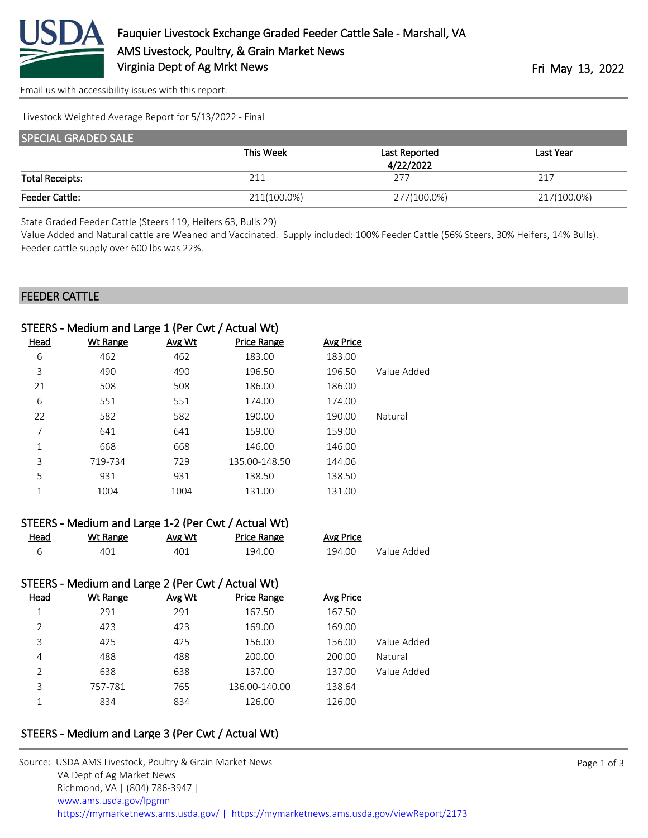

[Email us with accessibility issues with this report.](mailto:mars@ams.usda.gov?subject=508%20issue)

Livestock Weighted Average Report for 5/13/2022 - Final

| <b>SPECIAL GRADED SALE</b> |             |               |             |  |  |
|----------------------------|-------------|---------------|-------------|--|--|
|                            | This Week   | Last Reported | Last Year   |  |  |
|                            |             | 4/22/2022     |             |  |  |
| <b>Total Receipts:</b>     | 211         | 277           | 217         |  |  |
| <b>Feeder Cattle:</b>      | 211(100.0%) | 277(100.0%)   | 217(100.0%) |  |  |

State Graded Feeder Cattle (Steers 119, Heifers 63, Bulls 29)

Value Added and Natural cattle are Weaned and Vaccinated. Supply included: 100% Feeder Cattle (56% Steers, 30% Heifers, 14% Bulls). Feeder cattle supply over 600 lbs was 22%.

#### FEEDER CATTLE

| STEERS - Medium and Large 1 (Per Cwt / Actual Wt) |                 |        |                    |           |             |
|---------------------------------------------------|-----------------|--------|--------------------|-----------|-------------|
| <b>Head</b>                                       | <b>Wt Range</b> | Avg Wt | <b>Price Range</b> | Avg Price |             |
| 6                                                 | 462             | 462    | 183.00             | 183.00    |             |
| 3                                                 | 490             | 490    | 196.50             | 196.50    | Value Added |
| 21                                                | 508             | 508    | 186.00             | 186.00    |             |
| 6                                                 | 551             | 551    | 174.00             | 174.00    |             |
| 22                                                | 582             | 582    | 190.00             | 190.00    | Natural     |
| 7                                                 | 641             | 641    | 159.00             | 159.00    |             |
| 1                                                 | 668             | 668    | 146.00             | 146.00    |             |
| 3                                                 | 719-734         | 729    | 135.00-148.50      | 144.06    |             |
| 5                                                 | 931             | 931    | 138.50             | 138.50    |             |
| 1                                                 | 1004            | 1004   | 131.00             | 131.00    |             |
|                                                   |                 |        |                    |           |             |

|      | STEERS - Medium and Large 1-2 (Per Cwt / Actual Wt) |        |                    |           |             |
|------|-----------------------------------------------------|--------|--------------------|-----------|-------------|
| Head | Wt Range                                            | Avg Wt | <b>Price Range</b> | Avg Price |             |
|      | 401                                                 | 401    | 194.00             | 194.00    | Value Added |

### STEERS - Medium and Large 2 (Per Cwt / Actual Wt)

| <b>Head</b> | Wt Range | Avg Wt | <b>Price Range</b> | <b>Avg Price</b> |             |
|-------------|----------|--------|--------------------|------------------|-------------|
|             | 291      | 291    | 167.50             | 167.50           |             |
| 2           | 423      | 423    | 169.00             | 169.00           |             |
| 3           | 425      | 425    | 156.00             | 156.00           | Value Added |
| 4           | 488      | 488    | 200.00             | 200.00           | Natural     |
| 2           | 638      | 638    | 137.00             | 137.00           | Value Added |
| 3           | 757-781  | 765    | 136.00-140.00      | 138.64           |             |
| 1           | 834      | 834    | 126.00             | 126.00           |             |

## STEERS - Medium and Large 3 (Per Cwt / Actual Wt)

| Source: USDA AMS Livestock, Poultry & Grain Market News                                |
|----------------------------------------------------------------------------------------|
| VA Dept of Ag Market News                                                              |
| Richmond, VA   (804) 786-3947                                                          |
| www.ams.usda.gov/lpgmn                                                                 |
| https://mymarketnews.ams.usda.gov/   https://mymarketnews.ams.usda.gov/viewReport/2173 |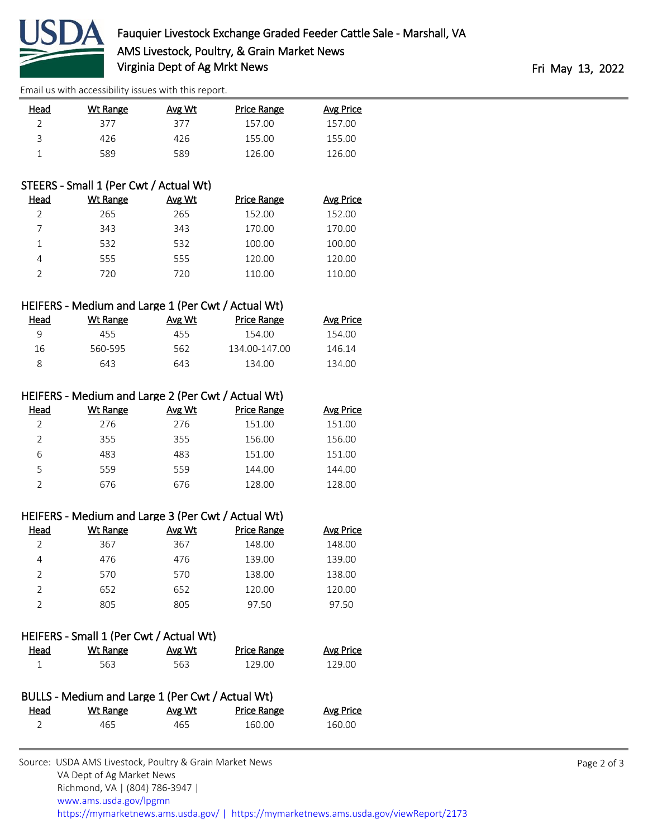

[Email us with accessibility issues with this report.](mailto:mars@ams.usda.gov?subject=508%20issue)

| Head | Wt Range | Avg Wt | Price Range | <b>Avg Price</b> |
|------|----------|--------|-------------|------------------|
|      | 377      | 377    | 157.00      | 157.00           |
|      | 426      | 426    | 155.00      | 155.00           |
|      | 589      | 589    | 126.00      | 126.00           |
|      |          |        |             |                  |

## STEERS - Small 1 (Per Cwt / Actual Wt)

| Head | Wt Range | Avg Wt | <b>Price Range</b> | Avg Price |
|------|----------|--------|--------------------|-----------|
|      | 265      | 265    | 152.00             | 152.00    |
|      | 343      | 343    | 170.00             | 170.00    |
|      | 532      | 532    | 100.00             | 100.00    |
|      | 555      | 555    | 120.00             | 120.00    |
|      | 720      | 720    | 110.00             | 110.00    |

### HEIFERS - Medium and Large 1 (Per Cwt / Actual Wt)

| Head | Wt Range | Avg Wt | Price Range   | Avg Price |
|------|----------|--------|---------------|-----------|
|      | 455.     | 455    | 154.00        | 154.00    |
| 16   | 560-595  | 562.   | 134.00-147.00 | 146.14    |
|      | 643      | 643    | 134.00        | 134.00    |

### HEIFERS - Medium and Large 2 (Per Cwt / Actual Wt)

| Head | Wt Range | Avg Wt | Price Range | Avg Price |
|------|----------|--------|-------------|-----------|
|      | 276      | 276    | 151.00      | 151.00    |
|      | 355      | 355    | 156.00      | 156.00    |
| 6    | 483      | 483    | 151.00      | 151.00    |
| 5    | 559      | 559    | 144.00      | 144.00    |
|      | 676      | 676    | 128.00      | 128.00    |

## HEIFERS - Medium and Large 3 (Per Cwt / Actual Wt)

| Head | Wt Range | Avg Wt | Price Range | <b>Avg Price</b> |
|------|----------|--------|-------------|------------------|
|      | 367      | 367    | 148.00      | 148.00           |
| 4    | 476      | 476    | 139.00      | 139.00           |
| V    | 570      | 570    | 138.00      | 138.00           |
|      | 652      | 652    | 120.00      | 120.00           |
|      | 805      | 805    | 97.50       | 97.50            |

### HEIFERS - Small 1 (Per Cwt / Actual Wt)

| <u>Head</u> | Wt Range | Avg Wt | <b>Price Range</b> | Avg Price |
|-------------|----------|--------|--------------------|-----------|
|             | 563      | 563    | 129.00             | 129.00    |

| BULLS - Medium and Large 1 (Per Cwt / Actual Wt) |          |        |             |                  |  |
|--------------------------------------------------|----------|--------|-------------|------------------|--|
| <u>Head</u>                                      | Wt Range | Avg Wt | Price Range | <b>Avg Price</b> |  |
|                                                  | 465      | 465    | 160.00      | 160.00           |  |